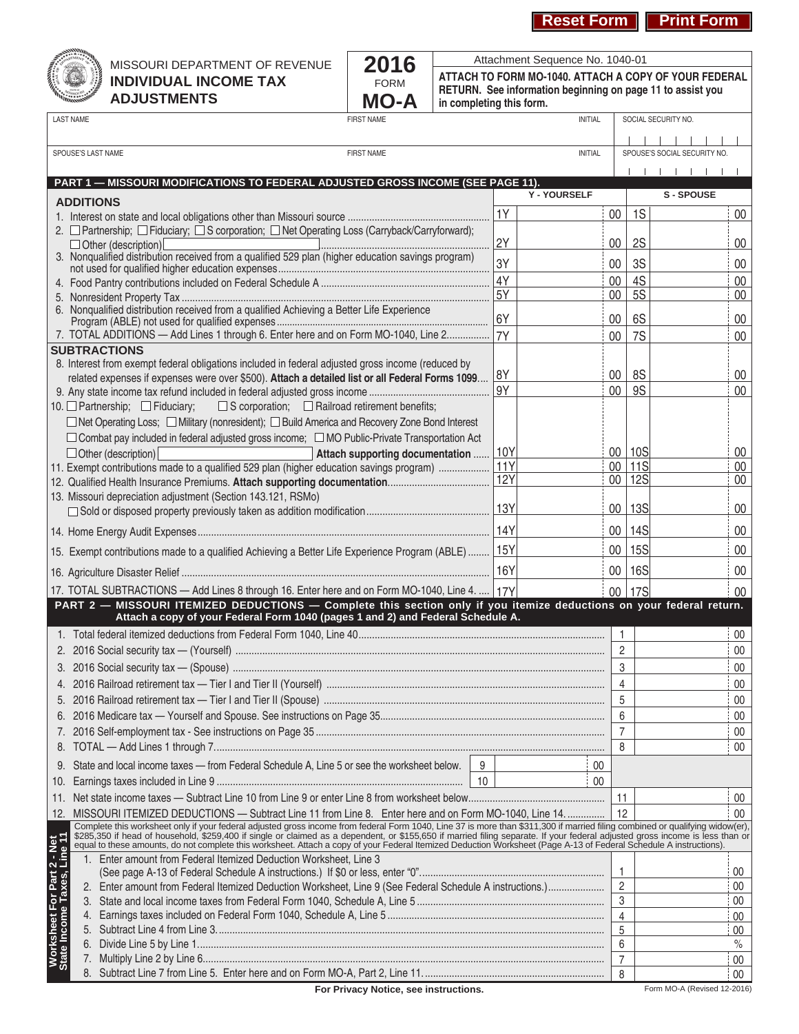**Reset Form | Print Form** 



## MISSOURI DEPARTMENT OF REVENUE **INDIVIDUAL INCOME TAX ADJUSTMENTS**



**ATTACH TO FORM MO‑1040. ATTACH A COPY OF YOUR FEDERAL RETURN. See information beginning on page 11 to assist you in completing this form.** Attachment Sequence No. 1040-01

|                                                           | <b>LAST NAME</b><br><b>FIRST NAME</b>                                                                                                                                                                                             |            | <b>INITIAL</b> |                     |            | SOCIAL SECURITY NO.          |        |
|-----------------------------------------------------------|-----------------------------------------------------------------------------------------------------------------------------------------------------------------------------------------------------------------------------------|------------|----------------|---------------------|------------|------------------------------|--------|
|                                                           |                                                                                                                                                                                                                                   |            |                |                     |            |                              |        |
| SPOUSE'S LAST NAME<br><b>FIRST NAME</b><br><b>INITIAL</b> |                                                                                                                                                                                                                                   |            |                |                     |            | SPOUSE'S SOCIAL SECURITY NO. |        |
|                                                           |                                                                                                                                                                                                                                   |            |                |                     |            | $\blacksquare$               |        |
|                                                           | PART 1 - MISSOURI MODIFICATIONS TO FEDERAL ADJUSTED GROSS INCOME (SEE PAGE 11).                                                                                                                                                   |            |                |                     |            |                              |        |
|                                                           | <b>ADDITIONS</b>                                                                                                                                                                                                                  |            | Y - YOURSELF   |                     |            | <b>S-SPOUSE</b>              |        |
|                                                           |                                                                                                                                                                                                                                   | 1Y         |                | $00\,$              | 1S         |                              | $00\,$ |
|                                                           | 2. □ Partnership; □ Fiduciary; □ S corporation; □ Net Operating Loss (Carryback/Carryforward);                                                                                                                                    |            |                |                     |            |                              |        |
|                                                           | $\Box$ Other (description)                                                                                                                                                                                                        | 2Y         |                | $00\,$              | <b>2S</b>  |                              | $00\,$ |
|                                                           | 3. Nonqualified distribution received from a qualified 529 plan (higher education savings program)                                                                                                                                | 3Y         |                | 00 <sup>°</sup>     | 3S         |                              | $00\,$ |
|                                                           |                                                                                                                                                                                                                                   | 4Y         |                | $00\,$              | 4S         |                              | $00\,$ |
|                                                           |                                                                                                                                                                                                                                   | 5Y         |                | 00                  | 5S         |                              | $00\,$ |
|                                                           | 6. Nonqualified distribution received from a qualified Achieving a Better Life Experience                                                                                                                                         |            |                |                     |            |                              |        |
|                                                           |                                                                                                                                                                                                                                   | 6Y         |                | 00                  | 6S         |                              | 00     |
|                                                           | 7. TOTAL ADDITIONS - Add Lines 1 through 6. Enter here and on Form MO-1040, Line 2 7Y                                                                                                                                             |            |                | 00                  | <b>7S</b>  |                              | $00\,$ |
|                                                           | <b>SUBTRACTIONS</b>                                                                                                                                                                                                               |            |                |                     |            |                              |        |
|                                                           | 8. Interest from exempt federal obligations included in federal adjusted gross income (reduced by<br>related expenses if expenses were over \$500). Attach a detailed list or all Federal Forms 1099                              | 8Y         |                | 00                  | 8S         |                              | 00     |
|                                                           |                                                                                                                                                                                                                                   | 9Y         |                | $00\,$              | <b>9S</b>  |                              | $00\,$ |
|                                                           | $\Box$ S corporation; $\Box$ Railroad retirement benefits;<br>10. $\Box$ Partnership; $\Box$ Fiduciary;                                                                                                                           |            |                |                     |            |                              |        |
|                                                           | $\Box$ Net Operating Loss; $\Box$ Military (nonresident); $\Box$ Build America and Recovery Zone Bond Interest                                                                                                                    |            |                |                     |            |                              |        |
|                                                           | □ Combat pay included in federal adjusted gross income; □ MO Public-Private Transportation Act                                                                                                                                    |            |                |                     |            |                              |        |
|                                                           | $\Box$ Other (description)<br>Attach supporting documentation                                                                                                                                                                     | 10Y        |                |                     | 00   10S   |                              | 00     |
|                                                           | 11. Exempt contributions made to a qualified 529 plan (higher education savings program)                                                                                                                                          | 11Y        |                |                     | 00   11S   |                              | $00\,$ |
|                                                           |                                                                                                                                                                                                                                   | <b>12Y</b> |                |                     | 00   12S   |                              | 00     |
|                                                           | 13. Missouri depreciation adjustment (Section 143.121, RSMo)                                                                                                                                                                      |            |                |                     |            |                              |        |
|                                                           |                                                                                                                                                                                                                                   |            |                |                     | 00   13S   |                              | $00\,$ |
|                                                           |                                                                                                                                                                                                                                   |            |                |                     | 00   14S   |                              | $00\,$ |
|                                                           | 15Y 15. Exempt contributions made to a qualified Achieving a Better Life Experience Program (ABLE) 15Y                                                                                                                            |            |                |                     | 00   15S   |                              | $00\,$ |
|                                                           |                                                                                                                                                                                                                                   | 16Y        |                | 00                  | <b>16S</b> |                              | $00\,$ |
|                                                           |                                                                                                                                                                                                                                   |            |                |                     |            |                              |        |
|                                                           | 17. TOTAL SUBTRACTIONS - Add Lines 8 through 16. Enter here and on Form MO-1040, Line 4.  17Y<br>PART 2 - MISSOURI ITEMIZED DEDUCTIONS - Complete this section only if you itemize deductions on your federal return.             |            |                | 00 <sup>°</sup>     | <b>17S</b> |                              | 00     |
|                                                           | Attach a copy of your Federal Form 1040 (pages 1 and 2) and Federal Schedule A.                                                                                                                                                   |            |                |                     |            |                              |        |
|                                                           |                                                                                                                                                                                                                                   |            |                | $\mathbf{1}$        |            |                              | 00     |
|                                                           |                                                                                                                                                                                                                                   |            |                | $\overline{2}$      |            |                              | 00     |
|                                                           |                                                                                                                                                                                                                                   |            |                | 3                   |            |                              | $00\,$ |
|                                                           |                                                                                                                                                                                                                                   |            |                | $\overline{4}$      |            |                              | $00\,$ |
|                                                           |                                                                                                                                                                                                                                   |            |                |                     |            |                              | $00\,$ |
|                                                           |                                                                                                                                                                                                                                   |            |                |                     |            |                              | 00     |
|                                                           |                                                                                                                                                                                                                                   |            |                | $\overline{7}$      |            |                              | 00     |
|                                                           |                                                                                                                                                                                                                                   |            |                | 8                   |            |                              | 00     |
|                                                           |                                                                                                                                                                                                                                   |            |                |                     |            |                              |        |
|                                                           | 9. State and local income taxes - from Federal Schedule A, Line 5 or see the worksheet below.<br>9                                                                                                                                |            | $00\,$         |                     |            |                              |        |
| 10.                                                       |                                                                                                                                                                                                                                   |            | 00             |                     |            |                              |        |
| 11.                                                       |                                                                                                                                                                                                                                   |            |                | 11                  |            |                              | 00     |
|                                                           | 12. MISSOURI ITEMIZED DEDUCTIONS - Subtract Line 11 from Line 8. Enter here and on Form MO-1040, Line 14.                                                                                                                         |            |                | 12                  |            |                              | 00     |
|                                                           | Complete this worksheet only if your federal adjusted gross income from federal Form 1040, Line 37 is more than \$311,300 if married filing combined or qualifying widow(er), \$285,350 if head of household, \$259,400 if single |            |                |                     |            |                              |        |
| Worksheet For Part 2 - Net<br>State Income Taxes, Line 11 |                                                                                                                                                                                                                                   |            |                |                     |            |                              |        |
|                                                           | 1. Enter amount from Federal Itemized Deduction Worksheet, Line 3                                                                                                                                                                 |            |                | $\mathbf{1}$        |            |                              | 00     |
|                                                           | 2. Enter amount from Federal Itemized Deduction Worksheet, Line 9 (See Federal Schedule A instructions.)                                                                                                                          |            |                | $\overline{2}$      |            |                              | 00     |
|                                                           | 3.                                                                                                                                                                                                                                |            |                |                     |            |                              | 00     |
|                                                           | 4.                                                                                                                                                                                                                                |            |                | 3<br>$\overline{4}$ |            |                              | 00     |
|                                                           |                                                                                                                                                                                                                                   |            |                | 5                   |            |                              | 00     |
|                                                           | 6.                                                                                                                                                                                                                                |            |                | 6                   |            |                              | $\%$   |
|                                                           | 7.                                                                                                                                                                                                                                |            |                | $\overline{7}$      |            |                              | 00     |
|                                                           |                                                                                                                                                                                                                                   |            |                | 8                   |            |                              | 00     |